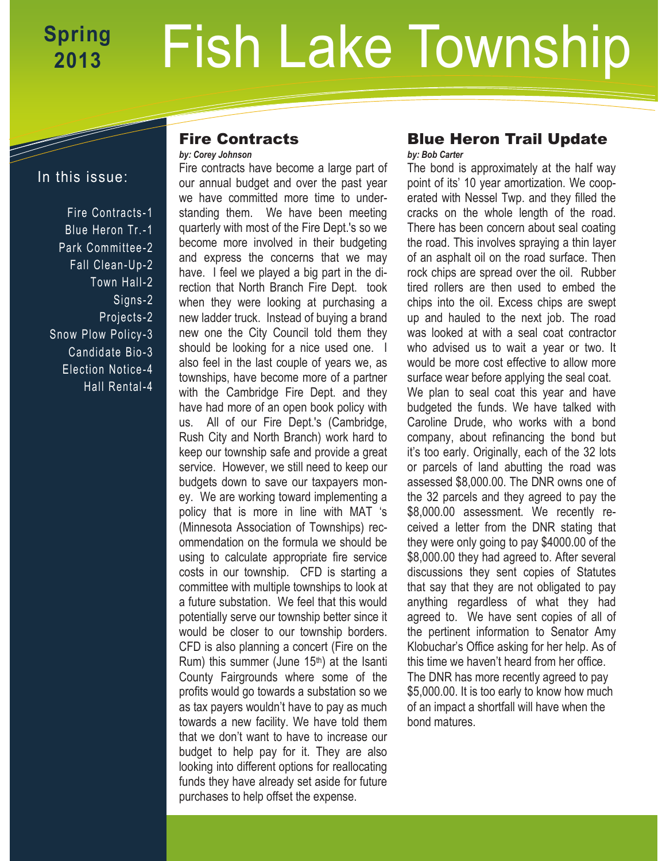# Fish Lake Township **Spring 2013**

# In this issue:

Fire Contracts -1 Blue Heron Tr.-1 Park Committee-2 Fall Clean-Up-2 Town Hall-2 Signs-2 Projects -2 Snow Plow Policy-3 Candidate Bio-3 Election Notice -4 Hall Rental-4

#### Fire Contracts *by: Corey Johnson*

Fire contracts have become a large part of our annual budget and over the past year we have committed more time to understanding them. We have been meeting quarterly with most of the Fire Dept.'s so we become more involved in their budgeting and express the concerns that we may have. I feel we played a big part in the direction that North Branch Fire Dept. took when they were looking at purchasing a new ladder truck. Instead of buying a brand new one the City Council told them they should be looking for a nice used one. I also feel in the last couple of years we, as townships, have become more of a partner with the Cambridge Fire Dept. and they have had more of an open book policy with us. All of our Fire Dept.'s (Cambridge, Rush City and North Branch) work hard to keep our township safe and provide a great service. However, we still need to keep our budgets down to save our taxpayers money. We are working toward implementing a policy that is more in line with MAT 's (Minnesota Association of Townships) recommendation on the formula we should be using to calculate appropriate fire service costs in our township. CFD is starting a committee with multiple townships to look at a future substation. We feel that this would potentially serve our township better since it would be closer to our township borders. CFD is also planning a concert (Fire on the Rum) this summer (June  $15<sup>th</sup>$ ) at the Isanti County Fairgrounds where some of the profits would go towards a substation so we as tax payers wouldn't have to pay as much towards a new facility. We have told them that we don't want to have to increase our budget to help pay for it. They are also looking into different options for reallocating funds they have already set aside for future purchases to help offset the expense.

#### Blue Heron Trail Update *by: Bob Carter*

The bond is approximately at the half way point of its' 10 year amortization. We cooperated with Nessel Twp. and they filled the cracks on the whole length of the road. There has been concern about seal coating the road. This involves spraying a thin layer of an asphalt oil on the road surface. Then rock chips are spread over the oil. Rubber tired rollers are then used to embed the chips into the oil. Excess chips are swept up and hauled to the next job. The road was looked at with a seal coat contractor who advised us to wait a year or two. It would be more cost effective to allow more surface wear before applying the seal coat. We plan to seal coat this year and have budgeted the funds. We have talked with Caroline Drude, who works with a bond company, about refinancing the bond but it's too early. Originally, each of the 32 lots or parcels of land abutting the road was assessed \$8,000.00. The DNR owns one of the 32 parcels and they agreed to pay the \$8,000.00 assessment. We recently received a letter from the DNR stating that they were only going to pay \$4000.00 of the \$8,000.00 they had agreed to. After several discussions they sent copies of Statutes that say that they are not obligated to pay anything regardless of what they had agreed to. We have sent copies of all of the pertinent information to Senator Amy Klobuchar's Office asking for her help. As of this time we haven't heard from her office. The DNR has more recently agreed to pay \$5,000.00. It is too early to know how much of an impact a shortfall will have when the bond matures.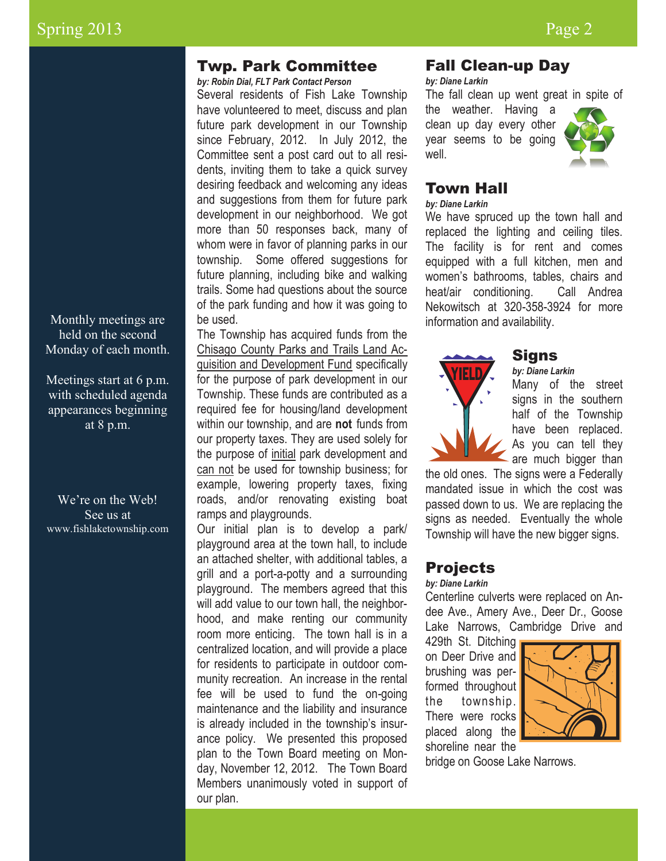Monthly meetings are held on the second Monday of each month.

Meetings start at 6 p.m. with scheduled agenda appearances beginning at 8 p.m.

We're on the Web! See us at www.fishlaketownship.com

# Twp. Park Committee

*by: Robin Dial, FLT Park Contact Person*

Several residents of Fish Lake Township have volunteered to meet, discuss and plan future park development in our Township since February, 2012. In July 2012, the Committee sent a post card out to all residents, inviting them to take a quick survey desiring feedback and welcoming any ideas and suggestions from them for future park development in our neighborhood. We got more than 50 responses back, many of whom were in favor of planning parks in our township. Some offered suggestions for future planning, including bike and walking trails. Some had questions about the source of the park funding and how it was going to be used.

The Township has acquired funds from the Chisago County Parks and Trails Land Acquisition and Development Fund specifically for the purpose of park development in our Township. These funds are contributed as a required fee for housing/land development within our township, and are **not** funds from our property taxes. They are used solely for the purpose of initial park development and can not be used for township business; for example, lowering property taxes, fixing roads, and/or renovating existing boat ramps and playgrounds.

Our initial plan is to develop a park/ playground area at the town hall, to include an attached shelter, with additional tables, a grill and a port-a-potty and a surrounding playground. The members agreed that this will add value to our town hall, the neighborhood, and make renting our community room more enticing. The town hall is in a centralized location, and will provide a place for residents to participate in outdoor community recreation. An increase in the rental fee will be used to fund the on-going maintenance and the liability and insurance is already included in the township's insurance policy. We presented this proposed plan to the Town Board meeting on Monday, November 12, 2012. The Town Board Members unanimously voted in support of our plan.

# Fall Clean-up Day

*by: Diane Larkin*

The fall clean up went great in spite of

the weather. Having a clean up day every other year seems to be going well.



# Town Hall

# *by: Diane Larkin*

We have spruced up the town hall and replaced the lighting and ceiling tiles. The facility is for rent and comes equipped with a full kitchen, men and women's bathrooms, tables, chairs and heat/air conditioning. Call Andrea Nekowitsch at 320-358-3924 for more information and availability.



### Signs

*by: Diane Larkin*

Many of the street signs in the southern half of the Township have been replaced. As you can tell they are much bigger than

the old ones. The signs were a Federally mandated issue in which the cost was passed down to us. We are replacing the signs as needed. Eventually the whole Township will have the new bigger signs.

# Projects

#### *by: Diane Larkin*

Centerline culverts were replaced on Andee Ave., Amery Ave., Deer Dr., Goose Lake Narrows, Cambridge Drive and

429th St. Ditching on Deer Drive and brushing was performed throughout the township. There were rocks placed along the shoreline near the



bridge on Goose Lake Narrows.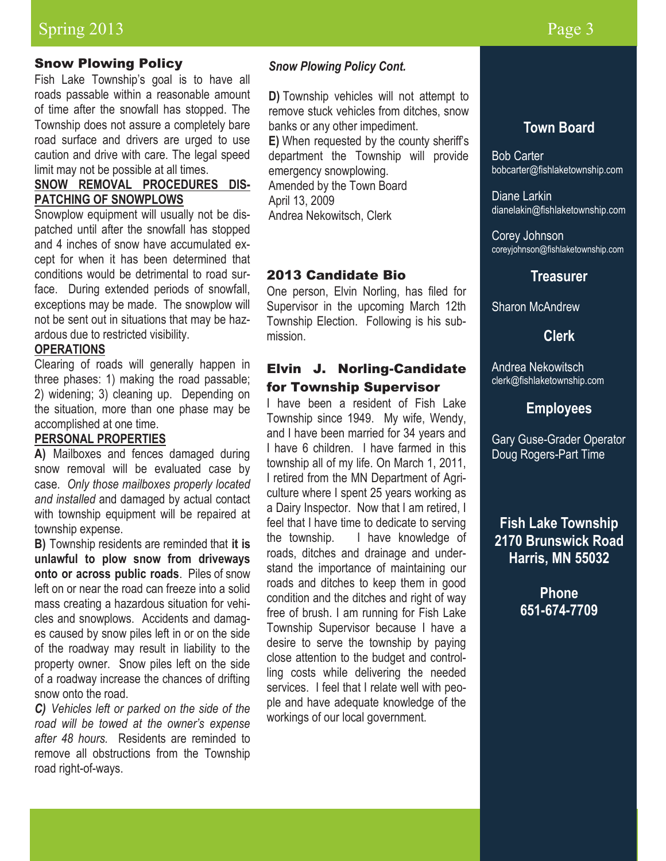# Spring 2013 Page 3

### Snow Plowing Policy

Fish Lake Township's goal is to have all roads passable within a reasonable amount of time after the snowfall has stopped. The Township does not assure a completely bare road surface and drivers are urged to use caution and drive with care. The legal speed limit may not be possible at all times.

### **SNOW REMOVAL PROCEDURES DIS-PATCHING OF SNOWPLOWS**

Snowplow equipment will usually not be dispatched until after the snowfall has stopped and 4 inches of snow have accumulated except for when it has been determined that conditions would be detrimental to road surface. During extended periods of snowfall, exceptions may be made. The snowplow will not be sent out in situations that may be hazardous due to restricted visibility.

#### **OPERATIONS**

Clearing of roads will generally happen in three phases: 1) making the road passable; 2) widening; 3) cleaning up. Depending on the situation, more than one phase may be accomplished at one time.

#### **PERSONAL PROPERTIES**

**A)** Mailboxes and fences damaged during snow removal will be evaluated case by case. *Only those mailboxes properly located and installed* and damaged by actual contact with township equipment will be repaired at township expense.

**B)** Township residents are reminded that **it is unlawful to plow snow from driveways onto or across public roads**. Piles of snow left on or near the road can freeze into a solid mass creating a hazardous situation for vehicles and snowplows. Accidents and damages caused by snow piles left in or on the side of the roadway may result in liability to the property owner. Snow piles left on the side of a roadway increase the chances of drifting snow onto the road.

*C) Vehicles left or parked on the side of the road will be towed at the owner's expense after 48 hours.* Residents are reminded to remove all obstructions from the Township road right-of-ways.

#### *Snow Plowing Policy Cont.*

**D)** Township vehicles will not attempt to remove stuck vehicles from ditches, snow banks or any other impediment.

**E)** When requested by the county sheriff's department the Township will provide emergency snowplowing. Amended by the Town Board

April 13, 2009 Andrea Nekowitsch, Clerk

#### 2013 Candidate Bio

One person, Elvin Norling, has filed for Supervisor in the upcoming March 12th Township Election. Following is his submission.

### Elvin J. Norling-Candidate for Township Supervisor

I have been a resident of Fish Lake Township since 1949. My wife, Wendy, and I have been married for 34 years and I have 6 children. I have farmed in this township all of my life. On March 1, 2011, I retired from the MN Department of Agriculture where I spent 25 years working as a Dairy Inspector. Now that I am retired, I feel that I have time to dedicate to serving the township. I have knowledge of roads, ditches and drainage and understand the importance of maintaining our roads and ditches to keep them in good condition and the ditches and right of way free of brush. I am running for Fish Lake Township Supervisor because I have a desire to serve the township by paying close attention to the budget and controlling costs while delivering the needed services. I feel that I relate well with people and have adequate knowledge of the workings of our local government.

# **Town Board**

Bob Carter bobcarter@fishlaketownship.com

Diane Larkin dianelakin@fishlaketownship.com

Corey Johnson coreyjohnson@fishlaketownship.com

### **Treasurer**

Sharon McAndrew

#### **Clerk**

Andrea Nekowitsch clerk@fishlaketownship.com

### **Employees**

Gary Guse-Grader Operator Doug Rogers-Part Time

# **Fish Lake Township 2170 Brunswick Road Harris, MN 55032**

**Phone 651-674-7709**